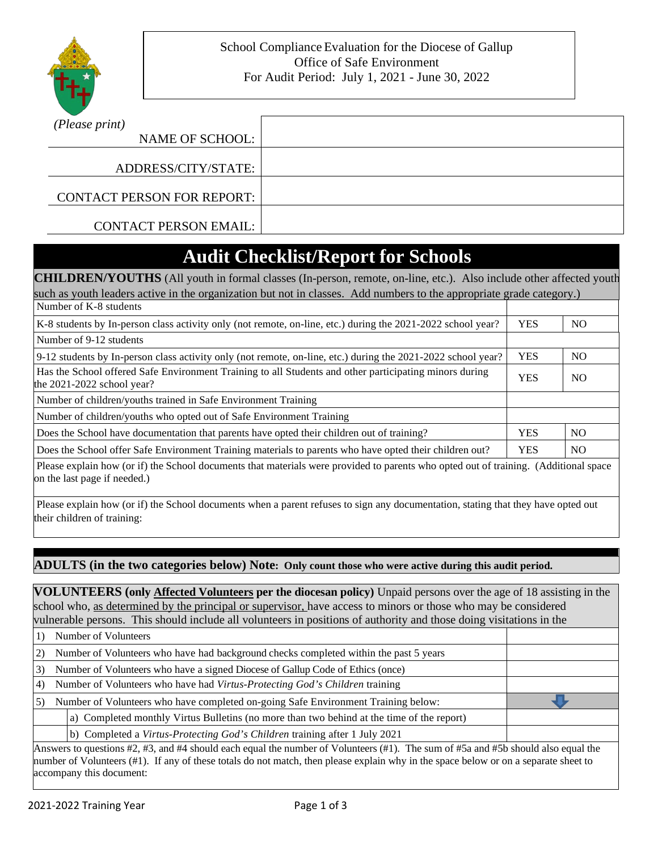

| (Please print)                    |  |
|-----------------------------------|--|
| NAME OF SCHOOL:                   |  |
|                                   |  |
| ADDRESS/CITY/STATE:               |  |
| <b>CONTACT PERSON FOR REPORT:</b> |  |
|                                   |  |
| <b>CONTACT PERSON EMAIL:</b>      |  |

## **Audit Checklist/Report for Schools**

| <b>CHILDREN/YOUTHS</b> (All youth in formal classes (In-person, remote, on-line, etc.). Also include other affected youth            |            |                |  |
|--------------------------------------------------------------------------------------------------------------------------------------|------------|----------------|--|
| such as youth leaders active in the organization but not in classes. Add numbers to the appropriate grade category.)                 |            |                |  |
| Number of K-8 students                                                                                                               |            |                |  |
| K-8 students by In-person class activity only (not remote, on-line, etc.) during the 2021-2022 school year?                          | <b>YES</b> | <b>NO</b>      |  |
| Number of 9-12 students                                                                                                              |            |                |  |
| 9-12 students by In-person class activity only (not remote, on-line, etc.) during the 2021-2022 school year?                         | <b>YES</b> | N <sub>O</sub> |  |
| Has the School offered Safe Environment Training to all Students and other participating minors during<br>the 2021-2022 school year? |            | N <sub>O</sub> |  |
| Number of children/youths trained in Safe Environment Training                                                                       |            |                |  |
| Number of children/youths who opted out of Safe Environment Training                                                                 |            |                |  |
| Does the School have documentation that parents have opted their children out of training?                                           |            | NO.            |  |
| Does the School offer Safe Environment Training materials to parents who have opted their children out?                              |            | NO.            |  |
| $\Box$                                                                                                                               |            |                |  |

Please explain how (or if) the School documents that materials were provided to parents who opted out of training. (Additional space on the last page if needed.)

Please explain how (or if) the School documents when a parent refuses to sign any documentation, stating that they have opted out their children of training:

#### **ADULTS (in the two categories below) Note: Only count those who were active during this audit period.**

**VOLUNTEERS (only Affected Volunteers per the diocesan policy)** Unpaid persons over the age of 18 assisting in the school who, as determined by the principal or supervisor, have access to minors or those who may be considered vulnerable persons. This should include all volunteers in positions of authority and those doing visitations in the

|                                                                                                                                                                                                                                                                                                 | Number of Volunteers                                                                      |  |  |
|-------------------------------------------------------------------------------------------------------------------------------------------------------------------------------------------------------------------------------------------------------------------------------------------------|-------------------------------------------------------------------------------------------|--|--|
| 2)                                                                                                                                                                                                                                                                                              | Number of Volunteers who have had background checks completed within the past 5 years     |  |  |
| 3)                                                                                                                                                                                                                                                                                              | Number of Volunteers who have a signed Diocese of Gallup Code of Ethics (once)            |  |  |
| .4)                                                                                                                                                                                                                                                                                             | Number of Volunteers who have had Virtus-Protecting God's Children training               |  |  |
| 5)                                                                                                                                                                                                                                                                                              | Number of Volunteers who have completed on-going Safe Environment Training below:         |  |  |
|                                                                                                                                                                                                                                                                                                 | a) Completed monthly Virtus Bulletins (no more than two behind at the time of the report) |  |  |
|                                                                                                                                                                                                                                                                                                 | b) Completed a Virtus-Protecting God's Children training after 1 July 2021                |  |  |
| Answers to questions $\#2$ , $\#3$ , and $\#4$ should each equal the number of Volunteers ( $\#1$ ). The sum of $\#5a$ and $\#5b$ should also equal the<br>munder of Velupteers (#1). If ony of these totals do not match, then plases evalgin why in the space helew on an a separate sheet to |                                                                                           |  |  |

number of Volunteers (#1). If any of these totals do not match, then please explain why in the space below or on a separate sheet to accompany this document: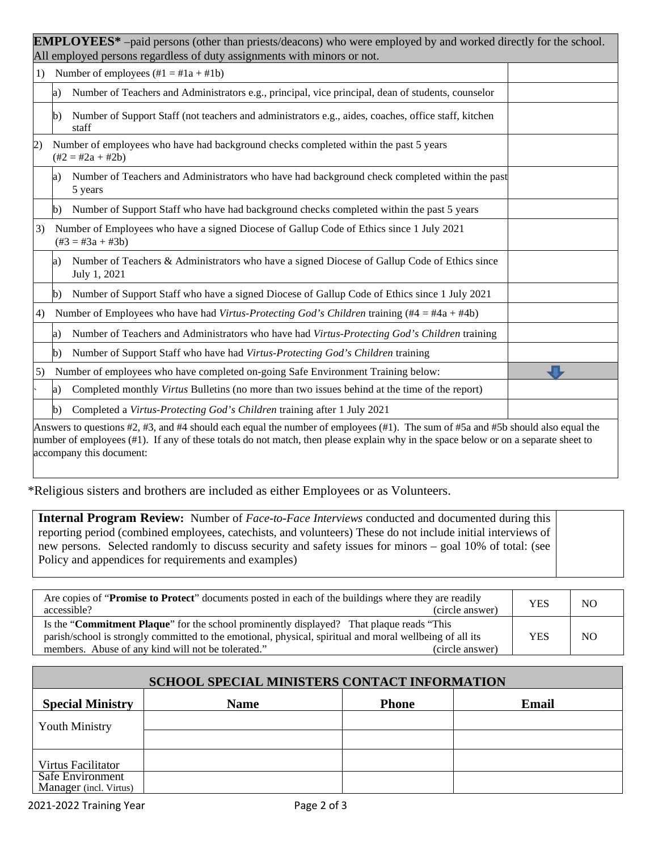| <b>EMPLOYEES*</b> -paid persons (other than priests/deacons) who were employed by and worked directly for the school.<br>All employed persons regardless of duty assignments with minors or not. |                                                                                                                                                                                                                                                                                                     |                                                                                                               |  |  |
|--------------------------------------------------------------------------------------------------------------------------------------------------------------------------------------------------|-----------------------------------------------------------------------------------------------------------------------------------------------------------------------------------------------------------------------------------------------------------------------------------------------------|---------------------------------------------------------------------------------------------------------------|--|--|
| 1)                                                                                                                                                                                               | Number of employees $(\#1 = \#1a + \#1b)$                                                                                                                                                                                                                                                           |                                                                                                               |  |  |
|                                                                                                                                                                                                  | Number of Teachers and Administrators e.g., principal, vice principal, dean of students, counselor<br>a)                                                                                                                                                                                            |                                                                                                               |  |  |
|                                                                                                                                                                                                  | b)                                                                                                                                                                                                                                                                                                  | Number of Support Staff (not teachers and administrators e.g., aides, coaches, office staff, kitchen<br>staff |  |  |
| (2)                                                                                                                                                                                              | Number of employees who have had background checks completed within the past 5 years<br>$(\#2 = \#2a + \#2b)$                                                                                                                                                                                       |                                                                                                               |  |  |
|                                                                                                                                                                                                  | Number of Teachers and Administrators who have had background check completed within the past<br>a)<br>5 years                                                                                                                                                                                      |                                                                                                               |  |  |
|                                                                                                                                                                                                  | b)                                                                                                                                                                                                                                                                                                  | Number of Support Staff who have had background checks completed within the past 5 years                      |  |  |
| 3)                                                                                                                                                                                               | Number of Employees who have a signed Diocese of Gallup Code of Ethics since 1 July 2021<br>$(\#3 = \#3a + \#3b)$                                                                                                                                                                                   |                                                                                                               |  |  |
|                                                                                                                                                                                                  | a)                                                                                                                                                                                                                                                                                                  | Number of Teachers & Administrators who have a signed Diocese of Gallup Code of Ethics since<br>July 1, 2021  |  |  |
|                                                                                                                                                                                                  | b)                                                                                                                                                                                                                                                                                                  | Number of Support Staff who have a signed Diocese of Gallup Code of Ethics since 1 July 2021                  |  |  |
| Number of Employees who have had Virtus-Protecting God's Children training (#4 = #4a + #4b)<br>4)                                                                                                |                                                                                                                                                                                                                                                                                                     |                                                                                                               |  |  |
| Number of Teachers and Administrators who have had Virtus-Protecting God's Children training<br>a)                                                                                               |                                                                                                                                                                                                                                                                                                     |                                                                                                               |  |  |
|                                                                                                                                                                                                  | b)                                                                                                                                                                                                                                                                                                  | Number of Support Staff who have had Virtus-Protecting God's Children training                                |  |  |
| 5)                                                                                                                                                                                               | Number of employees who have completed on-going Safe Environment Training below:                                                                                                                                                                                                                    |                                                                                                               |  |  |
|                                                                                                                                                                                                  | a)                                                                                                                                                                                                                                                                                                  | Completed monthly Virtus Bulletins (no more than two issues behind at the time of the report)                 |  |  |
| Completed a Virtus-Protecting God's Children training after 1 July 2021<br>b)                                                                                                                    |                                                                                                                                                                                                                                                                                                     |                                                                                                               |  |  |
|                                                                                                                                                                                                  | Answers to questions #2, #3, and #4 should each equal the number of employees (#1). The sum of #5a and #5b should also equal the<br>number of employees (#1). If any of these totals do not match, then please explain why in the space below or on a separate sheet to<br>accompany this document: |                                                                                                               |  |  |

\*Religious sisters and brothers are included as either Employees or as Volunteers.

**Internal Program Review:** Number of *Face-to-Face Interviews* conducted and documented during this reporting period (combined employees, catechists, and volunteers) These do not include initial interviews of new persons. Selected randomly to discuss security and safety issues for minors – goal 10% of total: (see Policy and appendices for requirements and examples)

| Are copies of " <b>Promise to Protect</b> " documents posted in each of the buildings where they are readily<br>accessible?<br>(circle answer) | <b>YES</b> | N <sub>O</sub> |
|------------------------------------------------------------------------------------------------------------------------------------------------|------------|----------------|
| Is the " <b>Commitment Plaque</b> " for the school prominently displayed? That plaque reads "This                                              |            |                |
| parish/school is strongly committed to the emotional, physical, spiritual and moral wellbeing of all its                                       |            | N <sub>O</sub> |
| members. Abuse of any kind will not be tolerated."<br>(circle answer)                                                                          |            |                |

| SCHOOL SPECIAL MINISTERS CONTACT INFORMATION      |             |              |       |
|---------------------------------------------------|-------------|--------------|-------|
| <b>Special Ministry</b>                           | <b>Name</b> | <b>Phone</b> | Email |
| <b>Youth Ministry</b>                             |             |              |       |
|                                                   |             |              |       |
| Virtus Facilitator                                |             |              |       |
| <b>Safe Environment</b><br>Manager (incl. Virtus) |             |              |       |